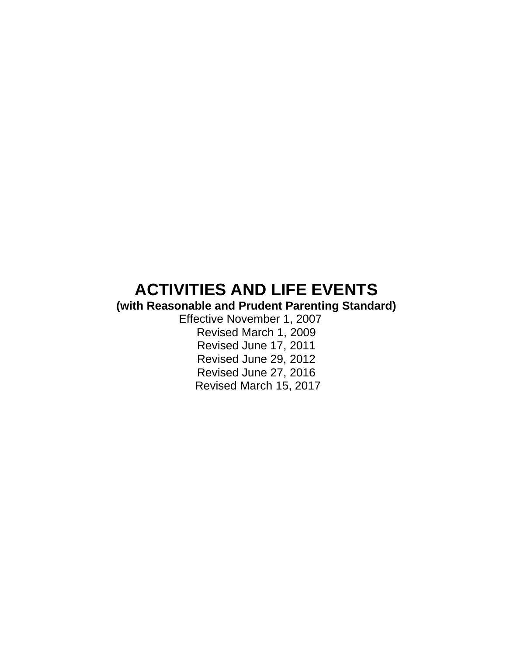# **ACTIVITIES AND LIFE EVENTS**

# **(with Reasonable and Prudent Parenting Standard)**

Effective November 1, 2007 Revised March 1, 2009 Revised June 17, 2011 Revised June 29, 2012 Revised June 27, 2016 Revised March 15, 2017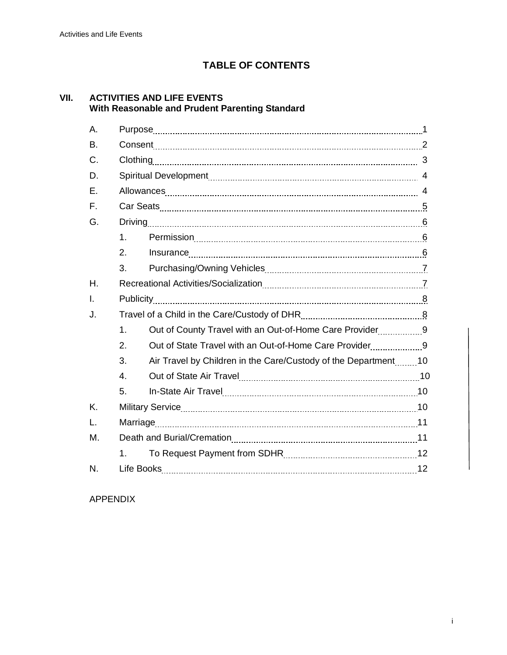# **TABLE OF CONTENTS**

# **VII. ACTIVITIES AND LIFE EVENTS With Reasonable and Prudent Parenting Standard**

| А. |                |                                                                 |  |
|----|----------------|-----------------------------------------------------------------|--|
| В. |                |                                                                 |  |
| C. |                |                                                                 |  |
| D. |                |                                                                 |  |
| Е. |                |                                                                 |  |
| F. |                |                                                                 |  |
| G. |                |                                                                 |  |
|    | 1 <sub>1</sub> |                                                                 |  |
|    | 2 <sub>1</sub> |                                                                 |  |
|    | 3.             |                                                                 |  |
| Η. |                |                                                                 |  |
| L  |                |                                                                 |  |
| J. |                |                                                                 |  |
|    | 1.             |                                                                 |  |
|    | 2.             | Out of State Travel with an Out-of-Home Care Provider9          |  |
|    | 3.             | Air Travel by Children in the Care/Custody of the Department 10 |  |
|    | 4.             |                                                                 |  |
|    | 5.             |                                                                 |  |
| Κ. |                |                                                                 |  |
| L. |                |                                                                 |  |
| М. |                |                                                                 |  |
|    | $1_{-}$        |                                                                 |  |
| N. |                |                                                                 |  |

## APPENDIX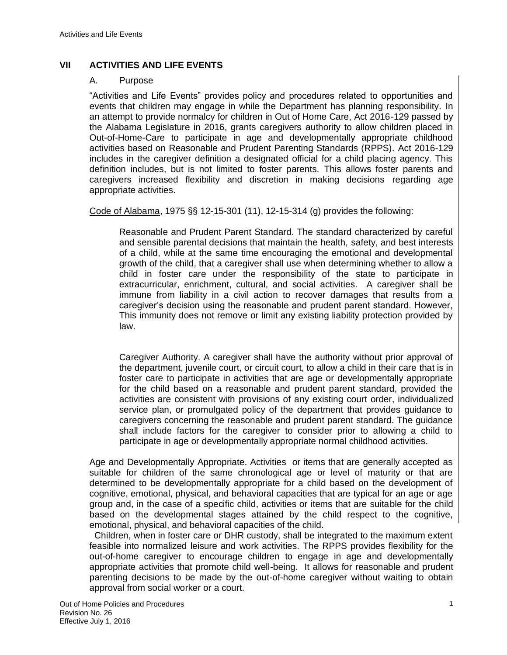# **VII ACTIVITIES AND LIFE EVENTS**

#### A. Purpose

"Activities and Life Events" provides policy and procedures related to opportunities and events that children may engage in while the Department has planning responsibility. In an attempt to provide normalcy for children in Out of Home Care, Act 2016-129 passed by the Alabama Legislature in 2016, grants caregivers authority to allow children placed in Out-of-Home-Care to participate in age and developmentally appropriate childhood activities based on Reasonable and Prudent Parenting Standards (RPPS). Act 2016-129 includes in the caregiver definition a designated official for a child placing agency. This definition includes, but is not limited to foster parents. This allows foster parents and caregivers increased flexibility and discretion in making decisions regarding age appropriate activities.

Code of Alabama, 1975 §§ 12-15-301 (11), 12-15-314 (g) provides the following:

Reasonable and Prudent Parent Standard. The standard characterized by careful and sensible parental decisions that maintain the health, safety, and best interests of a child, while at the same time encouraging the emotional and developmental growth of the child, that a caregiver shall use when determining whether to allow a child in foster care under the responsibility of the state to participate in extracurricular, enrichment, cultural, and social activities. A caregiver shall be immune from liability in a civil action to recover damages that results from a caregiver's decision using the reasonable and prudent parent standard. However, This immunity does not remove or limit any existing liability protection provided by law.

Caregiver Authority. A caregiver shall have the authority without prior approval of the department, juvenile court, or circuit court, to allow a child in their care that is in foster care to participate in activities that are age or developmentally appropriate for the child based on a reasonable and prudent parent standard, provided the activities are consistent with provisions of any existing court order, individualized service plan, or promulgated policy of the department that provides guidance to caregivers concerning the reasonable and prudent parent standard. The guidance shall include factors for the caregiver to consider prior to allowing a child to participate in age or developmentally appropriate normal childhood activities.

Age and Developmentally Appropriate. Activities or items that are generally accepted as suitable for children of the same chronological age or level of maturity or that are determined to be developmentally appropriate for a child based on the development of cognitive, emotional, physical, and behavioral capacities that are typical for an age or age group and, in the case of a specific child, activities or items that are suitable for the child based on the developmental stages attained by the child respect to the cognitive, emotional, physical, and behavioral capacities of the child.

 Children, when in foster care or DHR custody, shall be integrated to the maximum extent feasible into normalized leisure and work activities. The RPPS provides flexibility for the out-of-home caregiver to encourage children to engage in age and developmentally appropriate activities that promote child well-being. It allows for reasonable and prudent parenting decisions to be made by the out-of-home caregiver without waiting to obtain approval from social worker or a court.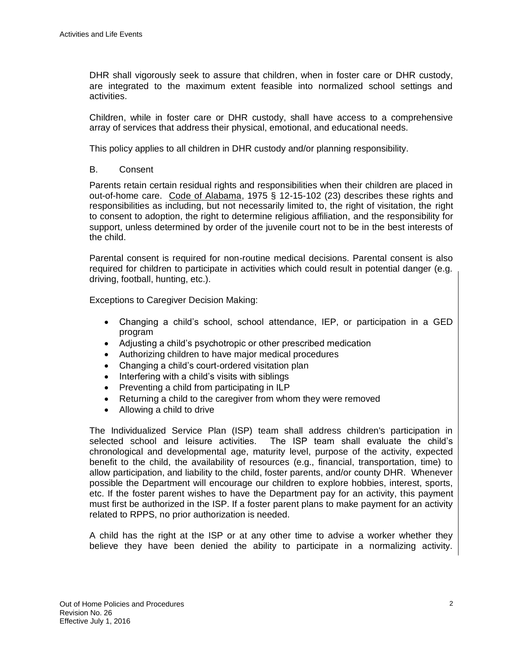DHR shall vigorously seek to assure that children, when in foster care or DHR custody, are integrated to the maximum extent feasible into normalized school settings and activities.

Children, while in foster care or DHR custody, shall have access to a comprehensive array of services that address their physical, emotional, and educational needs.

This policy applies to all children in DHR custody and/or planning responsibility.

B. Consent

Parents retain certain residual rights and responsibilities when their children are placed in out-of-home care. Code of Alabama, 1975 § 12-15-102 (23) describes these rights and responsibilities as including, but not necessarily limited to, the right of visitation, the right to consent to adoption, the right to determine religious affiliation, and the responsibility for support, unless determined by order of the juvenile court not to be in the best interests of the child.

Parental consent is required for non-routine medical decisions. Parental consent is also required for children to participate in activities which could result in potential danger (e.g. driving, football, hunting, etc.).

Exceptions to Caregiver Decision Making:

- Changing a child's school, school attendance, IEP, or participation in a GED program
- Adjusting a child's psychotropic or other prescribed medication
- Authorizing children to have major medical procedures
- Changing a child's court-ordered visitation plan
- Interfering with a child's visits with siblings
- Preventing a child from participating in ILP
- Returning a child to the caregiver from whom they were removed
- Allowing a child to drive

The Individualized Service Plan (ISP) team shall address children's participation in selected school and leisure activities. The ISP team shall evaluate the child's chronological and developmental age, maturity level, purpose of the activity, expected benefit to the child, the availability of resources (e.g., financial, transportation, time) to allow participation, and liability to the child, foster parents, and/or county DHR. Whenever possible the Department will encourage our children to explore hobbies, interest, sports, etc. If the foster parent wishes to have the Department pay for an activity, this payment must first be authorized in the ISP. If a foster parent plans to make payment for an activity related to RPPS, no prior authorization is needed.

A child has the right at the ISP or at any other time to advise a worker whether they believe they have been denied the ability to participate in a normalizing activity.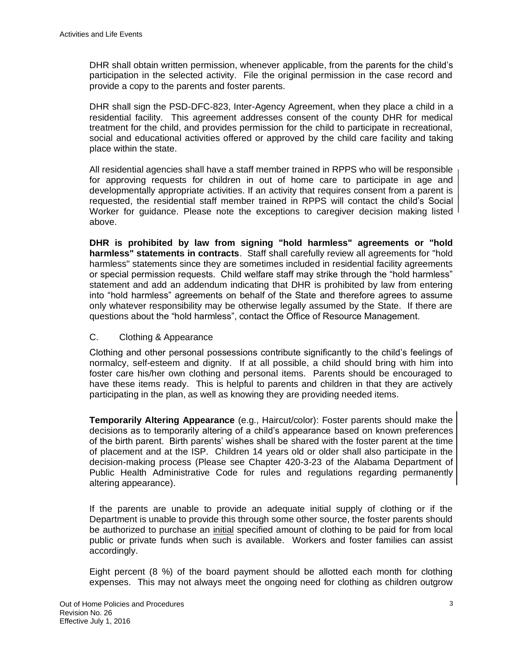DHR shall obtain written permission, whenever applicable, from the parents for the child's participation in the selected activity. File the original permission in the case record and provide a copy to the parents and foster parents.

DHR shall sign the PSD-DFC-823, Inter-Agency Agreement, when they place a child in a residential facility. This agreement addresses consent of the county DHR for medical treatment for the child, and provides permission for the child to participate in recreational, social and educational activities offered or approved by the child care facility and taking place within the state.

All residential agencies shall have a staff member trained in RPPS who will be responsible for approving requests for children in out of home care to participate in age and developmentally appropriate activities. If an activity that requires consent from a parent is requested, the residential staff member trained in RPPS will contact the child's Social Worker for guidance. Please note the exceptions to caregiver decision making listed above.

**DHR is prohibited by law from signing "hold harmless" agreements or "hold harmless" statements in contracts**. Staff shall carefully review all agreements for "hold harmless" statements since they are sometimes included in residential facility agreements or special permission requests. Child welfare staff may strike through the "hold harmless" statement and add an addendum indicating that DHR is prohibited by law from entering into "hold harmless" agreements on behalf of the State and therefore agrees to assume only whatever responsibility may be otherwise legally assumed by the State. If there are questions about the "hold harmless", contact the Office of Resource Management.

#### C. Clothing & Appearance

Clothing and other personal possessions contribute significantly to the child's feelings of normalcy, self-esteem and dignity. If at all possible, a child should bring with him into foster care his/her own clothing and personal items. Parents should be encouraged to have these items ready. This is helpful to parents and children in that they are actively participating in the plan, as well as knowing they are providing needed items.

**Temporarily Altering Appearance** (e.g., Haircut/color): Foster parents should make the decisions as to temporarily altering of a child's appearance based on known preferences of the birth parent. Birth parents' wishes shall be shared with the foster parent at the time of placement and at the ISP. Children 14 years old or older shall also participate in the decision-making process (Please see Chapter 420-3-23 of the Alabama Department of Public Health Administrative Code for rules and regulations regarding permanently altering appearance).

If the parents are unable to provide an adequate initial supply of clothing or if the Department is unable to provide this through some other source, the foster parents should be authorized to purchase an initial specified amount of clothing to be paid for from local public or private funds when such is available. Workers and foster families can assist accordingly.

Eight percent (8 %) of the board payment should be allotted each month for clothing expenses. This may not always meet the ongoing need for clothing as children outgrow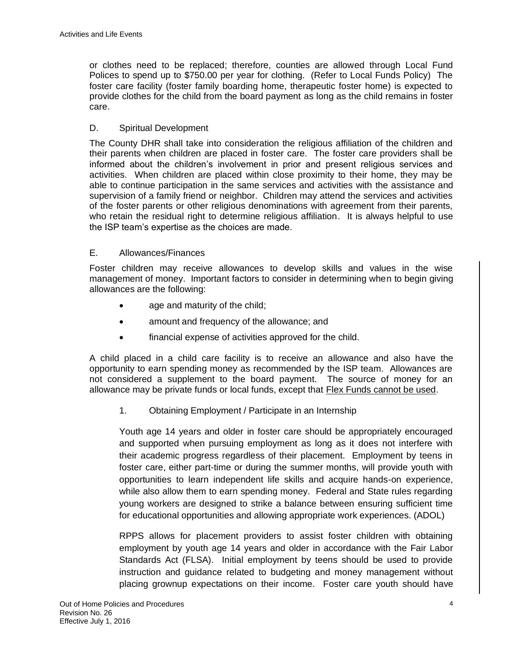or clothes need to be replaced; therefore, counties are allowed through Local Fund Polices to spend up to \$750.00 per year for clothing. (Refer to Local Funds Policy) The foster care facility (foster family boarding home, therapeutic foster home) is expected to provide clothes for the child from the board payment as long as the child remains in foster care.

## D. Spiritual Development

The County DHR shall take into consideration the religious affiliation of the children and their parents when children are placed in foster care. The foster care providers shall be informed about the children's involvement in prior and present religious services and activities. When children are placed within close proximity to their home, they may be able to continue participation in the same services and activities with the assistance and supervision of a family friend or neighbor. Children may attend the services and activities of the foster parents or other religious denominations with agreement from their parents, who retain the residual right to determine religious affiliation. It is always helpful to use the ISP team's expertise as the choices are made.

## E. Allowances/Finances

Foster children may receive allowances to develop skills and values in the wise management of money. Important factors to consider in determining when to begin giving allowances are the following:

- age and maturity of the child;
- amount and frequency of the allowance; and
- financial expense of activities approved for the child.

A child placed in a child care facility is to receive an allowance and also have the opportunity to earn spending money as recommended by the ISP team. Allowances are not considered a supplement to the board payment. The source of money for an allowance may be private funds or local funds, except that Flex Funds cannot be used.

1. Obtaining Employment / Participate in an Internship

Youth age 14 years and older in foster care should be appropriately encouraged and supported when pursuing employment as long as it does not interfere with their academic progress regardless of their placement. Employment by teens in foster care, either part-time or during the summer months, will provide youth with opportunities to learn independent life skills and acquire hands-on experience, while also allow them to earn spending money. Federal and State rules regarding young workers are designed to strike a balance between ensuring sufficient time for educational opportunities and allowing appropriate work experiences. (ADOL)

RPPS allows for placement providers to assist foster children with obtaining employment by youth age 14 years and older in accordance with the Fair Labor Standards Act (FLSA). Initial employment by teens should be used to provide instruction and guidance related to budgeting and money management without placing grownup expectations on their income. Foster care youth should have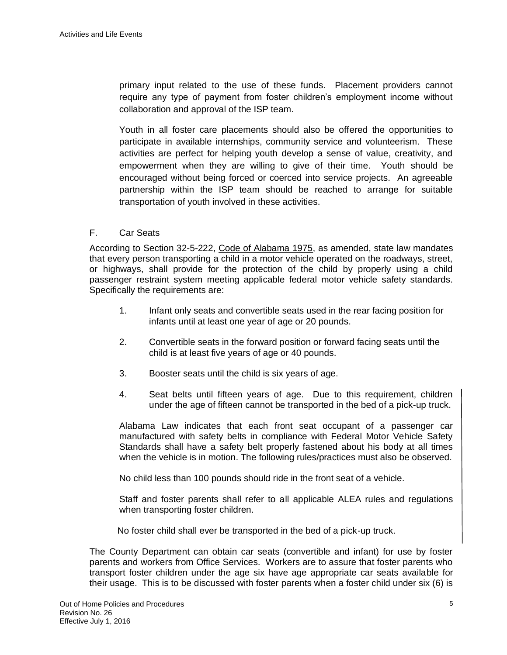primary input related to the use of these funds. Placement providers cannot require any type of payment from foster children's employment income without collaboration and approval of the ISP team.

Youth in all foster care placements should also be offered the opportunities to participate in available internships, community service and volunteerism. These activities are perfect for helping youth develop a sense of value, creativity, and empowerment when they are willing to give of their time. Youth should be encouraged without being forced or coerced into service projects. An agreeable partnership within the ISP team should be reached to arrange for suitable transportation of youth involved in these activities.

#### F. Car Seats

According to Section 32-5-222, Code of Alabama 1975, as amended, state law mandates that every person transporting a child in a motor vehicle operated on the roadways, street, or highways, shall provide for the protection of the child by properly using a child passenger restraint system meeting applicable federal motor vehicle safety standards. Specifically the requirements are:

- 1. Infant only seats and convertible seats used in the rear facing position for infants until at least one year of age or 20 pounds.
- 2. Convertible seats in the forward position or forward facing seats until the child is at least five years of age or 40 pounds.
- 3. Booster seats until the child is six years of age.
- 4. Seat belts until fifteen years of age. Due to this requirement, children under the age of fifteen cannot be transported in the bed of a pick-up truck.

Alabama Law indicates that each front seat occupant of a passenger car manufactured with safety belts in compliance with Federal Motor Vehicle Safety Standards shall have a safety belt properly fastened about his body at all times when the vehicle is in motion. The following rules/practices must also be observed.

No child less than 100 pounds should ride in the front seat of a vehicle.

Staff and foster parents shall refer to all applicable ALEA rules and regulations when transporting foster children.

No foster child shall ever be transported in the bed of a pick-up truck.

The County Department can obtain car seats (convertible and infant) for use by foster parents and workers from Office Services. Workers are to assure that foster parents who transport foster children under the age six have age appropriate car seats available for their usage. This is to be discussed with foster parents when a foster child under six (6) is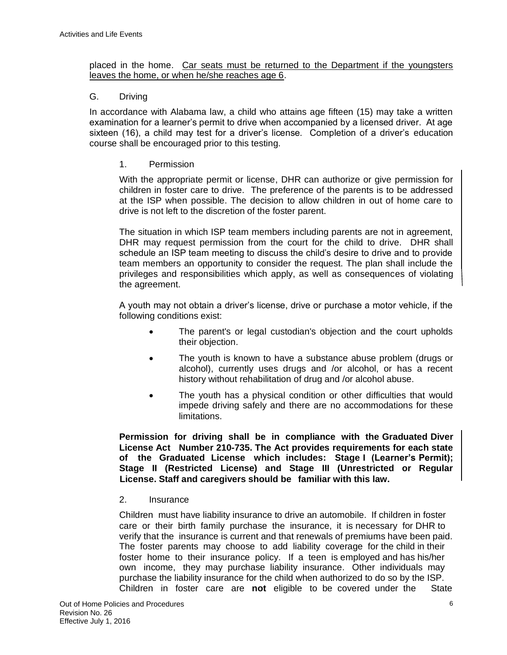placed in the home. Car seats must be returned to the Department if the youngsters leaves the home, or when he/she reaches age 6.

#### G. Driving

In accordance with Alabama law, a child who attains age fifteen (15) may take a written examination for a learner's permit to drive when accompanied by a licensed driver. At age sixteen (16), a child may test for a driver's license. Completion of a driver's education course shall be encouraged prior to this testing.

#### 1. Permission

With the appropriate permit or license, DHR can authorize or give permission for children in foster care to drive. The preference of the parents is to be addressed at the ISP when possible. The decision to allow children in out of home care to drive is not left to the discretion of the foster parent.

The situation in which ISP team members including parents are not in agreement, DHR may request permission from the court for the child to drive. DHR shall schedule an ISP team meeting to discuss the child's desire to drive and to provide team members an opportunity to consider the request. The plan shall include the privileges and responsibilities which apply, as well as consequences of violating the agreement.

A youth may not obtain a driver's license, drive or purchase a motor vehicle, if the following conditions exist:

- The parent's or legal custodian's objection and the court upholds their objection.
- The youth is known to have a substance abuse problem (drugs or alcohol), currently uses drugs and /or alcohol, or has a recent history without rehabilitation of drug and /or alcohol abuse.
- The youth has a physical condition or other difficulties that would impede driving safely and there are no accommodations for these limitations.

**Permission for driving shall be in compliance with the Graduated Diver License Act Number 210-735. The Act provides requirements for each state of the Graduated License which includes: Stage I (Learner's Permit); Stage II (Restricted License) and Stage III (Unrestricted or Regular License. Staff and caregivers should be familiar with this law.** 

2. Insurance

Children must have liability insurance to drive an automobile. If children in foster care or their birth family purchase the insurance, it is necessary for DHR to verify that the insurance is current and that renewals of premiums have been paid. The foster parents may choose to add liability coverage for the child in their foster home to their insurance policy. If a teen is employed and has his/her own income, they may purchase liability insurance. Other individuals may purchase the liability insurance for the child when authorized to do so by the ISP. Children in foster care are **not** eligible to be covered under the State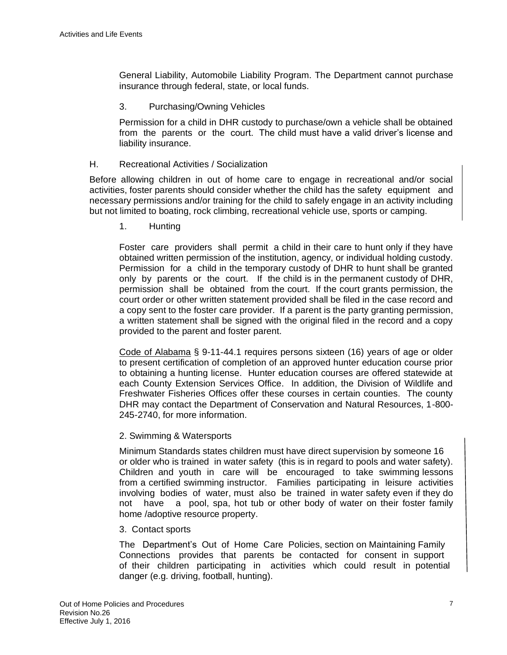General Liability, Automobile Liability Program. The Department cannot purchase insurance through federal, state, or local funds.

3. Purchasing/Owning Vehicles

Permission for a child in DHR custody to purchase/own a vehicle shall be obtained from the parents or the court. The child must have a valid driver's license and liability insurance.

H. Recreational Activities / Socialization

Before allowing children in out of home care to engage in recreational and/or social activities, foster parents should consider whether the child has the safety equipment and necessary permissions and/or training for the child to safely engage in an activity including but not limited to boating, rock climbing, recreational vehicle use, sports or camping.

1. Hunting

Foster care providers shall permit a child in their care to hunt only if they have obtained written permission of the institution, agency, or individual holding custody. Permission for a child in the temporary custody of DHR to hunt shall be granted only by parents or the court. If the child is in the permanent custody of DHR, permission shall be obtained from the court. If the court grants permission, the court order or other written statement provided shall be filed in the case record and a copy sent to the foster care provider. If a parent is the party granting permission, a written statement shall be signed with the original filed in the record and a copy provided to the parent and foster parent.

Code of Alabama § 9-11-44.1 requires persons sixteen (16) years of age or older to present certification of completion of an approved hunter education course prior to obtaining a hunting license. Hunter education courses are offered statewide at each County Extension Services Office. In addition, the Division of Wildlife and Freshwater Fisheries Offices offer these courses in certain counties. The county DHR may contact the Department of Conservation and Natural Resources, 1-800- 245-2740, for more information.

#### 2. Swimming & Watersports

Minimum Standards states children must have direct supervision by someone 16 or older who is trained in water safety (this is in regard to pools and water safety). Children and youth in care will be encouraged to take swimming lessons from a certified swimming instructor. Families participating in leisure activities involving bodies of water, must also be trained in water safety even if they do not have a pool, spa, hot tub or other body of water on their foster family home /adoptive resource property.

#### 3. Contact sports

The Department's Out of Home Care Policies, section on Maintaining Family Connections provides that parents be contactedfor consent in support of their children participating in activities which could result in potential danger (e.g. driving, football, hunting).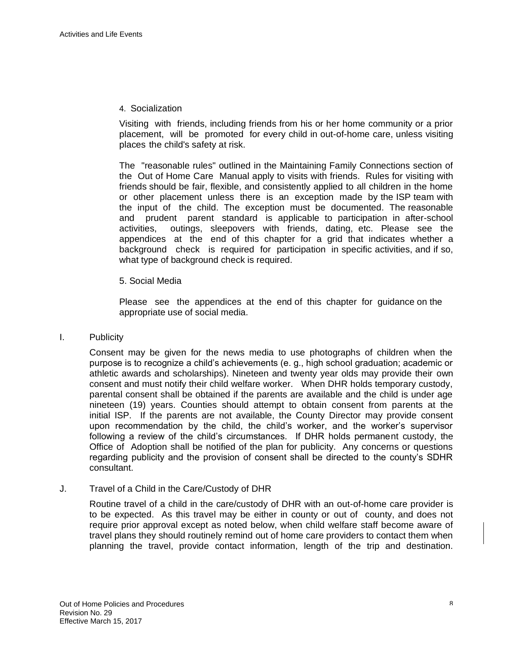#### 4. Socialization

Visiting with friends, including friends from his or her home community or a prior placement, will be promoted for every child in out-of-home care, unless visiting places the child's safety at risk.

The "reasonable rules" outlined in the Maintaining Family Connections section of the Out of Home Care Manual apply to visits with friends. Rules for visiting with friends should be fair, flexible, and consistently applied to all children in the home or other placement unless there is an exception made by the ISP team with the input of the child. The exception must be documented. The reasonable and prudent parent standard is applicable to participation in after-school activities, outings, sleepovers with friends, dating, etc. Please see the appendices at the end of this chapter for a grid that indicates whether a background check is required for participation in specific activities, and if so, what type of background check is required.

5. Social Media

Please see the appendices at the end of this chapter for guidance on the appropriate use of social media.

#### I. Publicity

Consent may be given for the news media to use photographs of children when the purpose is to recognize a child's achievements (e. g., high school graduation; academic or athletic awards and scholarships). Nineteen and twenty year olds may provide their own consent and must notify their child welfare worker. When DHR holds temporary custody, parental consent shall be obtained if the parents are available and the child is under age nineteen (19) years. Counties should attempt to obtain consent from parents at the initial ISP. If the parents are not available, the County Director may provide consent upon recommendation by the child, the child's worker, and the worker's supervisor following a review of the child's circumstances. If DHR holds permanent custody, the Office of Adoption shall be notified of the plan for publicity. Any concerns or questions regarding publicity and the provision of consent shall be directed to the county's SDHR consultant.

#### J. Travel of a Child in the Care/Custody of DHR

Routine travel of a child in the care/custody of DHR with an out-of-home care provider is to be expected. As this travel may be either in county or out of county, and does not require prior approval except as noted below, when child welfare staff become aware of travel plans they should routinely remind out of home care providers to contact them when planning the travel, provide contact information, length of the trip and destination.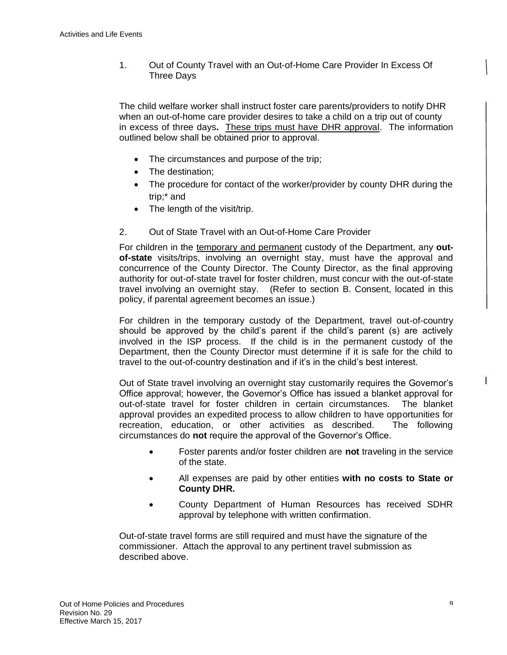1. Out of County Travel with an Out-of-Home Care Provider In Excess Of Three Days

The child welfare worker shall instruct foster care parents/providers to notify DHR when an out-of-home care provider desires to take a child on a trip out of county in excess of three days**.** These trips must have DHR approval. The information outlined below shall be obtained prior to approval.

- The circumstances and purpose of the trip;
- The destination;
- The procedure for contact of the worker/provider by county DHR during the trip;\* and
- The length of the visit/trip.
- 2. Out of State Travel with an Out-of-Home Care Provider

For children in the temporary and permanent custody of the Department, any **outof-state** visits/trips, involving an overnight stay, must have the approval and concurrence of the County Director. The County Director, as the final approving authority for out-of-state travel for foster children, must concur with the out-of-state travel involving an overnight stay. (Refer to section B. Consent, located in this policy, if parental agreement becomes an issue.)

For children in the temporary custody of the Department, travel out-of-country should be approved by the child's parent if the child's parent (s) are actively involved in the ISP process. If the child is in the permanent custody of the Department, then the County Director must determine if it is safe for the child to travel to the out-of-country destination and if it's in the child's best interest.

Out of State travel involving an overnight stay customarily requires the Governor's Office approval; however, the Governor's Office has issued a blanket approval for out-of-state travel for foster children in certain circumstances. The blanket approval provides an expedited process to allow children to have opportunities for recreation, education, or other activities as described. The following circumstances do **not** require the approval of the Governor's Office.

- Foster parents and/or foster children are **not** traveling in the service of the state.
- All expenses are paid by other entities **with no costs to State or County DHR.**
- County Department of Human Resources has received SDHR approval by telephone with written confirmation.

Out-of-state travel forms are still required and must have the signature of the commissioner. Attach the approval to any pertinent travel submission as described above.

 $\overline{\phantom{a}}$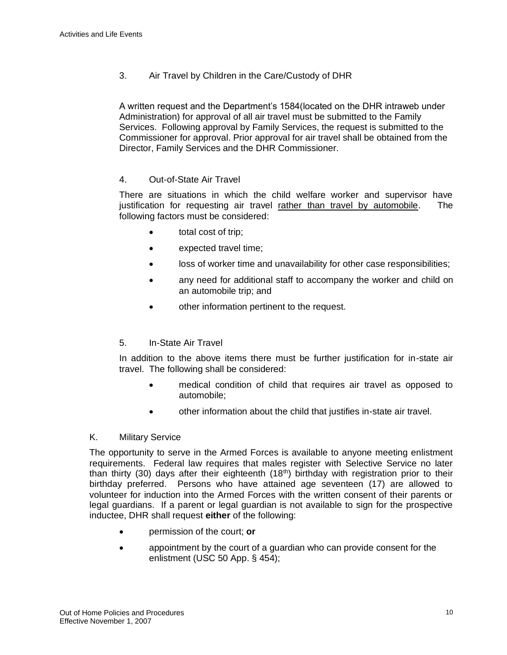3. Air Travel by Children in the Care/Custody of DHR

A written request and the Department's 1584(located on the DHR intraweb under Administration) for approval of all air travel must be submitted to the Family Services. Following approval by Family Services, the request is submitted to the Commissioner for approval. Prior approval for air travel shall be obtained from the Director, Family Services and the DHR Commissioner.

## 4. Out-of-State Air Travel

There are situations in which the child welfare worker and supervisor have justification for requesting air travel rather than travel by automobile. The following factors must be considered:

- total cost of trip;
- expected travel time;
- loss of worker time and unavailability for other case responsibilities;
- any need for additional staff to accompany the worker and child on an automobile trip; and
- other information pertinent to the request.

#### 5. In-State Air Travel

In addition to the above items there must be further justification for in-state air travel. The following shall be considered:

- medical condition of child that requires air travel as opposed to automobile;
- other information about the child that justifies in-state air travel.

#### K. Military Service

The opportunity to serve in the Armed Forces is available to anyone meeting enlistment requirements. Federal law requires that males register with Selective Service no later than thirty (30) days after their eighteenth (18<sup>th</sup>) birthday with registration prior to their birthday preferred. Persons who have attained age seventeen (17) are allowed to volunteer for induction into the Armed Forces with the written consent of their parents or legal guardians. If a parent or legal guardian is not available to sign for the prospective inductee, DHR shall request **either** of the following:

- permission of the court; **or**
- appointment by the court of a guardian who can provide consent for the enlistment (USC 50 App. § 454);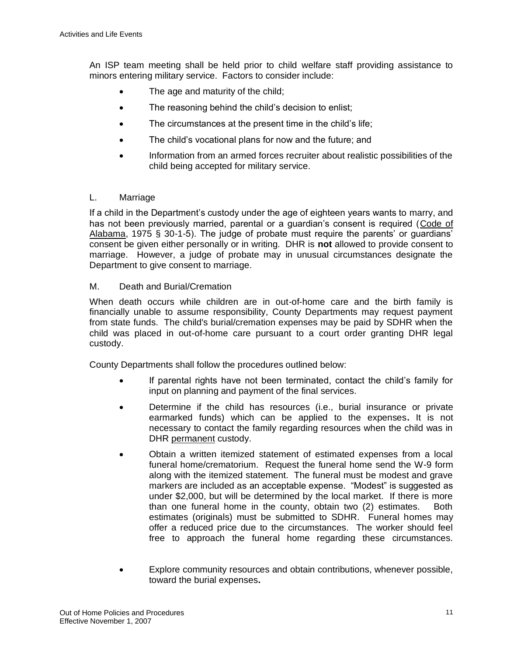An ISP team meeting shall be held prior to child welfare staff providing assistance to minors entering military service. Factors to consider include:

- The age and maturity of the child;
- The reasoning behind the child's decision to enlist;
- The circumstances at the present time in the child's life;
- The child's vocational plans for now and the future; and
- Information from an armed forces recruiter about realistic possibilities of the child being accepted for military service.

#### L. Marriage

If a child in the Department's custody under the age of eighteen years wants to marry, and has not been previously married, parental or a guardian's consent is required (Code of Alabama, 1975 § 30-1-5). The judge of probate must require the parents' or guardians' consent be given either personally or in writing. DHR is **not** allowed to provide consent to marriage. However, a judge of probate may in unusual circumstances designate the Department to give consent to marriage.

#### M. Death and Burial/Cremation

When death occurs while children are in out-of-home care and the birth family is financially unable to assume responsibility, County Departments may request payment from state funds. The child's burial/cremation expenses may be paid by SDHR when the child was placed in out-of-home care pursuant to a court order granting DHR legal custody.

County Departments shall follow the procedures outlined below:

- If parental rights have not been terminated, contact the child's family for input on planning and payment of the final services.
- Determine if the child has resources (i.e., burial insurance or private earmarked funds) which can be applied to the expenses**.** It is not necessary to contact the family regarding resources when the child was in DHR permanent custody.
- Obtain a written itemized statement of estimated expenses from a local funeral home/crematorium. Request the funeral home send the W-9 form along with the itemized statement. The funeral must be modest and grave markers are included as an acceptable expense. "Modest" is suggested as under \$2,000, but will be determined by the local market. If there is more than one funeral home in the county, obtain two (2) estimates. Both estimates (originals) must be submitted to SDHR. Funeral homes may offer a reduced price due to the circumstances. The worker should feel free to approach the funeral home regarding these circumstances.
- Explore community resources and obtain contributions, whenever possible, toward the burial expenses**.**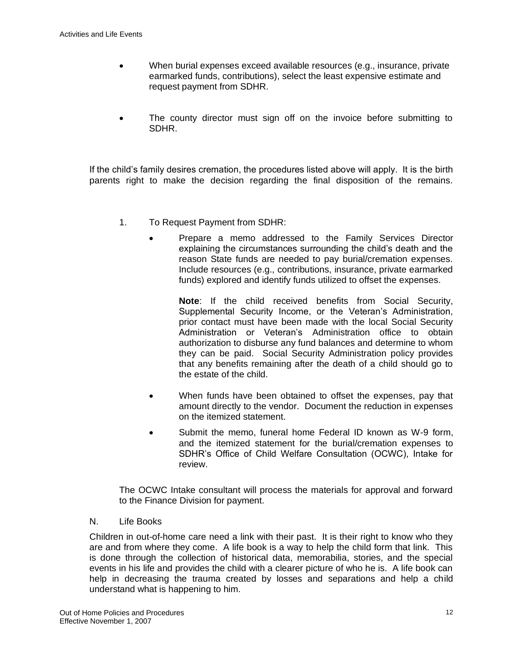- When burial expenses exceed available resources (e.g., insurance, private earmarked funds, contributions), select the least expensive estimate and request payment from SDHR.
- The county director must sign off on the invoice before submitting to SDHR.

If the child's family desires cremation, the procedures listed above will apply. It is the birth parents right to make the decision regarding the final disposition of the remains.

- 1. To Request Payment from SDHR:
	- Prepare a memo addressed to the Family Services Director explaining the circumstances surrounding the child's death and the reason State funds are needed to pay burial/cremation expenses. Include resources (e.g., contributions, insurance, private earmarked funds) explored and identify funds utilized to offset the expenses.

**Note**: If the child received benefits from Social Security, Supplemental Security Income, or the Veteran's Administration, prior contact must have been made with the local Social Security Administration or Veteran's Administration office to obtain authorization to disburse any fund balances and determine to whom they can be paid. Social Security Administration policy provides that any benefits remaining after the death of a child should go to the estate of the child.

- When funds have been obtained to offset the expenses, pay that amount directly to the vendor. Document the reduction in expenses on the itemized statement.
- Submit the memo, funeral home Federal ID known as W-9 form, and the itemized statement for the burial/cremation expenses to SDHR's Office of Child Welfare Consultation (OCWC), Intake for review.

The OCWC Intake consultant will process the materials for approval and forward to the Finance Division for payment.

#### N. Life Books

Children in out-of-home care need a link with their past. It is their right to know who they are and from where they come. A life book is a way to help the child form that link. This is done through the collection of historical data, memorabilia, stories, and the special events in his life and provides the child with a clearer picture of who he is. A life book can help in decreasing the trauma created by losses and separations and help a child understand what is happening to him.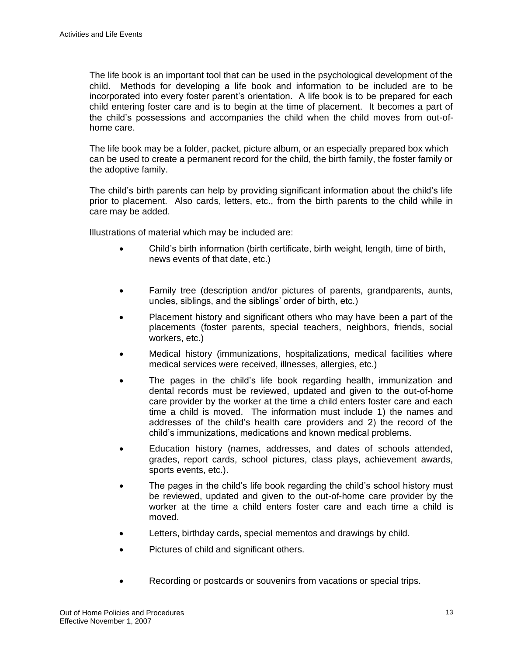The life book is an important tool that can be used in the psychological development of the child. Methods for developing a life book and information to be included are to be incorporated into every foster parent's orientation. A life book is to be prepared for each child entering foster care and is to begin at the time of placement. It becomes a part of the child's possessions and accompanies the child when the child moves from out-ofhome care.

The life book may be a folder, packet, picture album, or an especially prepared box which can be used to create a permanent record for the child, the birth family, the foster family or the adoptive family.

The child's birth parents can help by providing significant information about the child's life prior to placement. Also cards, letters, etc., from the birth parents to the child while in care may be added.

Illustrations of material which may be included are:

- Child's birth information (birth certificate, birth weight, length, time of birth, news events of that date, etc.)
- Family tree (description and/or pictures of parents, grandparents, aunts, uncles, siblings, and the siblings' order of birth, etc.)
- Placement history and significant others who may have been a part of the placements (foster parents, special teachers, neighbors, friends, social workers, etc.)
- Medical history (immunizations, hospitalizations, medical facilities where medical services were received, illnesses, allergies, etc.)
- The pages in the child's life book regarding health, immunization and dental records must be reviewed, updated and given to the out-of-home care provider by the worker at the time a child enters foster care and each time a child is moved. The information must include 1) the names and addresses of the child's health care providers and 2) the record of the child's immunizations, medications and known medical problems.
- Education history (names, addresses, and dates of schools attended, grades, report cards, school pictures, class plays, achievement awards, sports events, etc.).
- The pages in the child's life book regarding the child's school history must be reviewed, updated and given to the out-of-home care provider by the worker at the time a child enters foster care and each time a child is moved.
- Letters, birthday cards, special mementos and drawings by child.
- Pictures of child and significant others.
- Recording or postcards or souvenirs from vacations or special trips.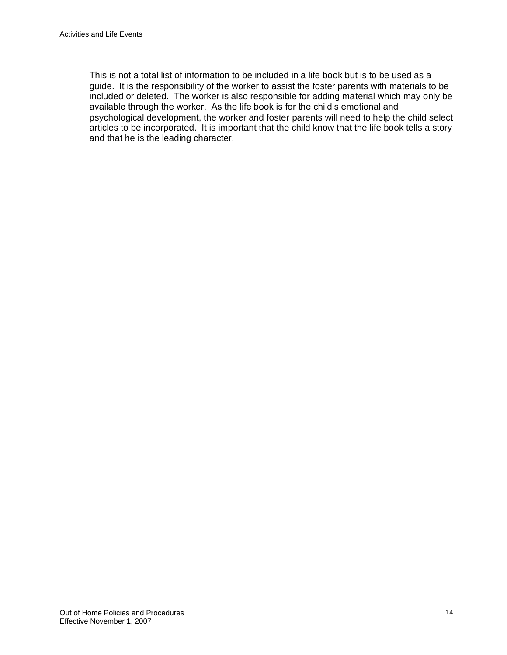This is not a total list of information to be included in a life book but is to be used as a guide. It is the responsibility of the worker to assist the foster parents with materials to be included or deleted. The worker is also responsible for adding material which may only be available through the worker. As the life book is for the child's emotional and psychological development, the worker and foster parents will need to help the child select articles to be incorporated. It is important that the child know that the life book tells a story and that he is the leading character.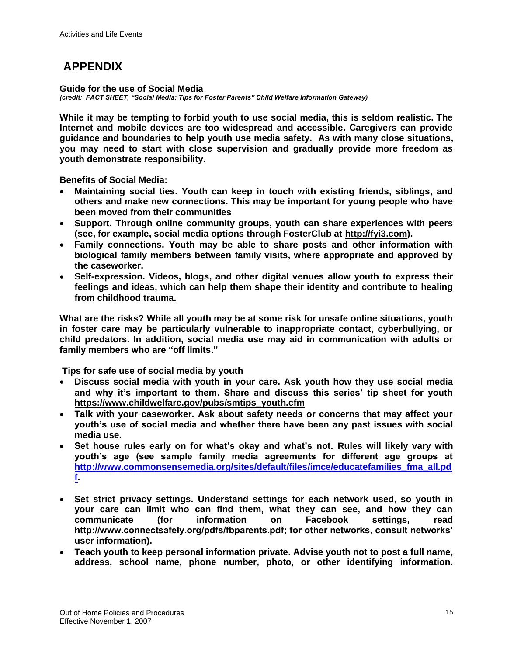# **APPENDIX**

**Guide for the use of Social Media**

*(credit: FACT SHEET, "Social Media: Tips for Foster Parents" Child Welfare Information Gateway)*

**While it may be tempting to forbid youth to use social media, this is seldom realistic. The Internet and mobile devices are too widespread and accessible. Caregivers can provide guidance and boundaries to help youth use media safety. As with many close situations, you may need to start with close supervision and gradually provide more freedom as youth demonstrate responsibility.** 

**Benefits of Social Media:** 

- **Maintaining social ties. Youth can keep in touch with existing friends, siblings, and others and make new connections. This may be important for young people who have been moved from their communities**
- **Support. Through online community groups, youth can share experiences with peers (see, for example, social media options through FosterClub at [http://fyi3.com\)](http://fyi3.com/).**
- **Family connections. Youth may be able to share posts and other information with biological family members between family visits, where appropriate and approved by the caseworker.**
- **Self-expression. Videos, blogs, and other digital venues allow youth to express their feelings and ideas, which can help them shape their identity and contribute to healing from childhood trauma.**

**What are the risks? While all youth may be at some risk for unsafe online situations, youth in foster care may be particularly vulnerable to inappropriate contact, cyberbullying, or child predators. In addition, social media use may aid in communication with adults or family members who are "off limits."**

**Tips for safe use of social media by youth**

- **Discuss social media with youth in your care. Ask youth how they use social media and why it's important to them. Share and discuss this series' tip sheet for youth [https://www.childwelfare.gov/pubs/smtips\\_youth.cfm](https://www.childwelfare.gov/pubs/smtips_youth.cfm)**
- **Talk with your caseworker. Ask about safety needs or concerns that may affect your youth's use of social media and whether there have been any past issues with social media use.**
- **Set house rules early on for what's okay and what's not. Rules will likely vary with youth's age (see sample family media agreements for different age groups at [http://www.commonsensemedia.org/sites/default/files/imce/educatefamilies\\_fma\\_all.pd](http://www.commonsensemedia.org/sites/default/files/imce/educatefamilies_fma_all.pdf) [f.](http://www.commonsensemedia.org/sites/default/files/imce/educatefamilies_fma_all.pdf)**
- **Set strict privacy settings. Understand settings for each network used, so youth in your care can limit who can find them, what they can see, and how they can communicate (for information on Facebook settings, read http://www.connectsafely.org/pdfs/fbparents.pdf; for other networks, consult networks' user information).**
- **Teach youth to keep personal information private. Advise youth not to post a full name, address, school name, phone number, photo, or other identifying information.**